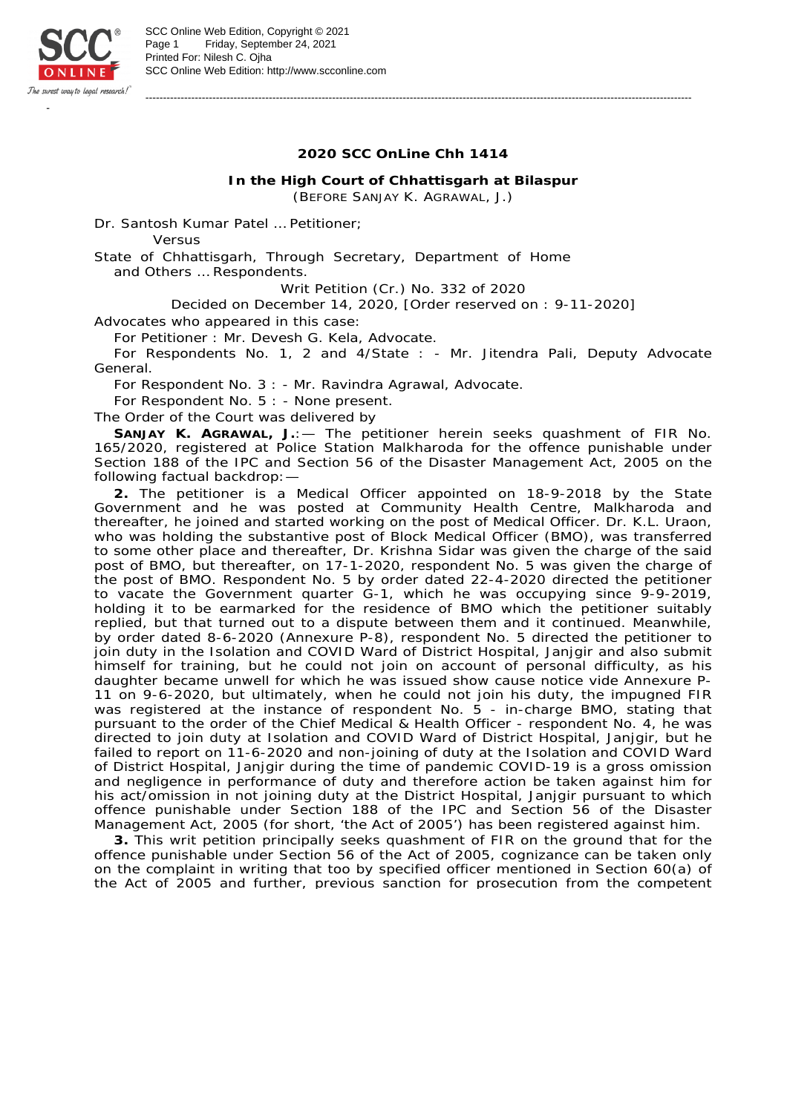

-----------------------------------------------------------------------------------------------------------------------------------------------------------

**In the High Court of Chhattisgarh at Bilaspur** (BEFORE SANJAY K. AGRAWAL, J.)

Dr. Santosh Kumar Patel … Petitioner;

*Versus*

State of Chhattisgarh, Through Secretary, Department of Home and Others … Respondents.

Writ Petition (Cr.) No. 332 of 2020

Decided on December 14, 2020, [Order reserved on : 9-11-2020]

Advocates who appeared in this case:

For Petitioner : Mr. Devesh G. Kela, Advocate.

For Respondents No. 1, 2 and 4/State : - Mr. Jitendra Pali, Deputy Advocate General.

For Respondent No. 3 : - Mr. Ravindra Agrawal, Advocate.

For Respondent No. 5 : - None present.

The Order of the Court was delivered by

**SANJAY K. AGRAWAL, J.**:— The petitioner herein seeks quashment of FIR No. 165/2020, registered at Police Station Malkharoda for the offence punishable under Section 188 of the IPC and Section 56 of the Disaster Management Act, 2005 on the following factual backdrop:—

**2.** The petitioner is a Medical Officer appointed on 18-9-2018 by the State Government and he was posted at Community Health Centre, Malkharoda and thereafter, he joined and started working on the post of Medical Officer. Dr. K.L. Uraon, who was holding the substantive post of Block Medical Officer (BMO), was transferred to some other place and thereafter, Dr. Krishna Sidar was given the charge of the said post of BMO, but thereafter, on 17-1-2020, respondent No. 5 was given the charge of the post of BMO. Respondent No. 5 by order dated 22-4-2020 directed the petitioner to vacate the Government quarter G-1, which he was occupying since 9-9-2019, holding it to be earmarked for the residence of BMO which the petitioner suitably replied, but that turned out to a dispute between them and it continued. Meanwhile, by order dated 8-6-2020 (Annexure P-8), respondent No. 5 directed the petitioner to join duty in the Isolation and COVID Ward of District Hospital, Janjgir and also submit himself for training, but he could not join on account of personal difficulty, as his daughter became unwell for which he was issued show cause notice vide Annexure P-11 on 9-6-2020, but ultimately, when he could not join his duty, the impugned FIR was registered at the instance of respondent No. 5 - in-charge BMO, stating that pursuant to the order of the Chief Medical & Health Officer - respondent No. 4, he was directed to join duty at Isolation and COVID Ward of District Hospital, Janjgir, but he failed to report on 11-6-2020 and non-joining of duty at the Isolation and COVID Ward of District Hospital, Janjgir during the time of pandemic COVID-19 is a gross omission and negligence in performance of duty and therefore action be taken against him for his act/omission in not joining duty at the District Hospital, Janjgir pursuant to which offence punishable under Section 188 of the IPC and Section 56 of the Disaster Management Act, 2005 (for short, 'the Act of 2005') has been registered against him.

**3.** This writ petition principally seeks quashment of FIR on the ground that for the offence punishable under Section 56 of the Act of 2005, cognizance can be taken only on the complaint in writing that too by specified officer mentioned in Section 60(a) of the Act of 2005 and further, previous sanction for prosecution from the competent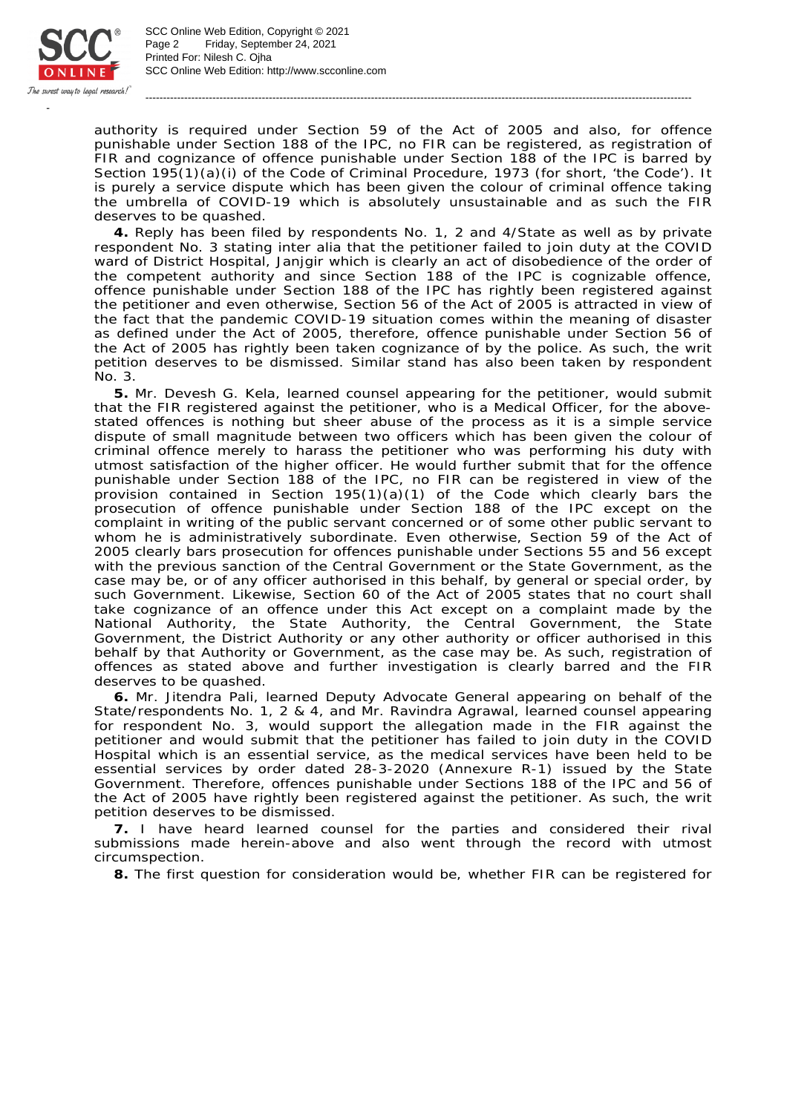

SCC Online Web Edition: http://www.scconline.com Printed For: Nilesh C. Ojha Page 2 Friday, September 24, 2021 SCC Online Web Edition, Copyright © 2021

authority is required under Section 59 of the Act of 2005 and also, for offence punishable under Section 188 of the IPC, no FIR can be registered, as registration of FIR and cognizance of offence punishable under Section 188 of the IPC is barred by Section 195(1)(a)(i) of the Code of Criminal Procedure, 1973 (for short, 'the Code'). It is purely a service dispute which has been given the colour of criminal offence taking the umbrella of COVID-19 which is absolutely unsustainable and as such the FIR deserves to be quashed.

-----------------------------------------------------------------------------------------------------------------------------------------------------------

**4.** Reply has been filed by respondents No. 1, 2 and 4/State as well as by private respondent No. 3 stating inter alia that the petitioner failed to join duty at the COVID ward of District Hospital, Janjgir which is clearly an act of disobedience of the order of the competent authority and since Section 188 of the IPC is cognizable offence, offence punishable under Section 188 of the IPC has rightly been registered against the petitioner and even otherwise, Section 56 of the Act of 2005 is attracted in view of the fact that the pandemic COVID-19 situation comes within the meaning of disaster as defined under the Act of 2005, therefore, offence punishable under Section 56 of the Act of 2005 has rightly been taken cognizance of by the police. As such, the writ petition deserves to be dismissed. Similar stand has also been taken by respondent No. 3.

**5.** Mr. Devesh G. Kela, learned counsel appearing for the petitioner, would submit that the FIR registered against the petitioner, who is a Medical Officer, for the abovestated offences is nothing but sheer abuse of the process as it is a simple service dispute of small magnitude between two officers which has been given the colour of criminal offence merely to harass the petitioner who was performing his duty with utmost satisfaction of the higher officer. He would further submit that for the offence punishable under Section 188 of the IPC, no FIR can be registered in view of the provision contained in Section  $195(1)(a)(1)$  of the Code which clearly bars the prosecution of offence punishable under Section 188 of the IPC except on the complaint in writing of the public servant concerned or of some other public servant to whom he is administratively subordinate. Even otherwise, Section 59 of the Act of 2005 clearly bars prosecution for offences punishable under Sections 55 and 56 except with the previous sanction of the Central Government or the State Government, as the case may be, or of any officer authorised in this behalf, by general or special order, by such Government. Likewise, Section 60 of the Act of 2005 states that no court shall take cognizance of an offence under this Act except on a complaint made by the National Authority, the State Authority, the Central Government, the State Government, the District Authority or any other authority or officer authorised in this behalf by that Authority or Government, as the case may be. As such, registration of offences as stated above and further investigation is clearly barred and the FIR deserves to be quashed.

**6.** Mr. Jitendra Pali, learned Deputy Advocate General appearing on behalf of the State/respondents No. 1, 2 & 4, and Mr. Ravindra Agrawal, learned counsel appearing for respondent No. 3, would support the allegation made in the FIR against the petitioner and would submit that the petitioner has failed to join duty in the COVID Hospital which is an essential service, as the medical services have been held to be essential services by order dated 28-3-2020 (Annexure R-1) issued by the State Government. Therefore, offences punishable under Sections 188 of the IPC and 56 of the Act of 2005 have rightly been registered against the petitioner. As such, the writ petition deserves to be dismissed.

**7.** I have heard learned counsel for the parties and considered their rival submissions made herein-above and also went through the record with utmost circumspection.

**8.** The first question for consideration would be, whether FIR can be registered for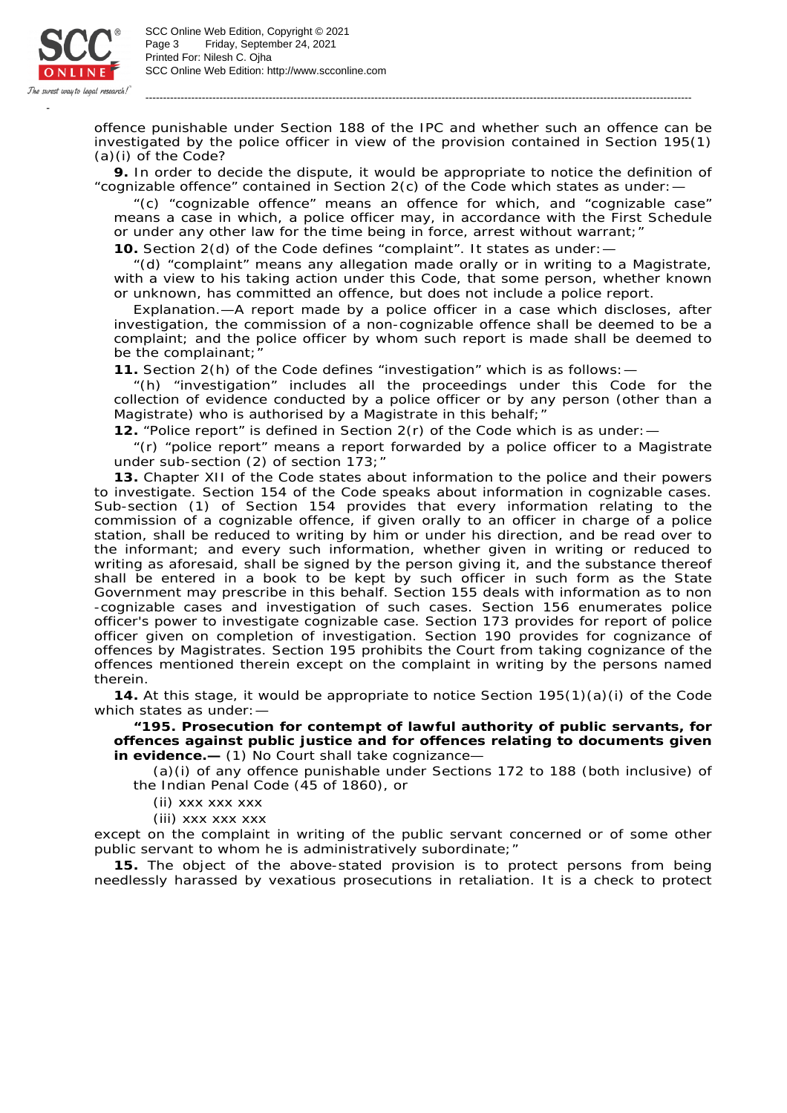

SCC Online Web Edition: http://www.scconline.com Printed For: Nilesh C. Ojha Page 3 Friday, September 24, 2021 SCC Online Web Edition, Copyright © 2021

offence punishable under Section 188 of the IPC and whether such an offence can be investigated by the police officer in view of the provision contained in Section 195(1) (a)(i) of the Code?

-----------------------------------------------------------------------------------------------------------------------------------------------------------

**9.** In order to decide the dispute, it would be appropriate to notice the definition of "cognizable offence" contained in Section 2(c) of the Code which states as under:—

"(c) "cognizable offence" means an offence for which, and "cognizable case" means a case in which, a police officer may, in accordance with the First Schedule or under any other law for the time being in force, arrest without warrant;" **10.** Section 2(d) of the Code defines "complaint". It states as under:—

"(d) "complaint" means any allegation made orally or in writing to a Magistrate, with a view to his taking action under this Code, that some person, whether known or unknown, has committed an offence, but does not include a police report.

Explanation.—A report made by a police officer in a case which discloses, after investigation, the commission of a non-cognizable offence shall be deemed to be a complaint; and the police officer by whom such report is made shall be deemed to be the complainant;"

**11.** Section 2(h) of the Code defines "investigation" which is as follows:—

"(h) "investigation" includes all the proceedings under this Code for the collection of evidence conducted by a police officer or by any person (other than a Magistrate) who is authorised by a Magistrate in this behalf; "

**12.** "Police report" is defined in Section 2(r) of the Code which is as under:—

"(r) "police report" means a report forwarded by a police officer to a Magistrate under sub-section (2) of section 173;"

**13.** Chapter XII of the Code states about information to the police and their powers to investigate. Section 154 of the Code speaks about information in cognizable cases. Sub-section (1) of Section 154 provides that every information relating to the commission of a cognizable offence, if given orally to an officer in charge of a police station, shall be reduced to writing by him or under his direction, and be read over to the informant; and every such information, whether given in writing or reduced to writing as aforesaid, shall be signed by the person giving it, and the substance thereof shall be entered in a book to be kept by such officer in such form as the State Government may prescribe in this behalf. Section 155 deals with information as to non -cognizable cases and investigation of such cases. Section 156 enumerates police officer's power to investigate cognizable case. Section 173 provides for report of police officer given on completion of investigation. Section 190 provides for cognizance of offences by Magistrates. Section 195 prohibits the Court from taking cognizance of the offences mentioned therein except on the complaint in writing by the persons named therein.

**14.** At this stage, it would be appropriate to notice Section 195(1)(a)(i) of the Code which states as under:-

**"195. Prosecution for contempt of lawful authority of public servants, for offences against public justice and for offences relating to documents given in evidence.—** (1) No Court shall take cognizance—

(a)(i) of any offence punishable under Sections 172 to 188 (both inclusive) of the Indian Penal Code (45 of 1860), or

(ii) xxx xxx xxx

(iii) xxx xxx xxx

except on the complaint in writing of the public servant concerned or of some other public servant to whom he is administratively subordinate;"

**15.** The object of the above-stated provision is to protect persons from being needlessly harassed by vexatious prosecutions in retaliation. It is a check to protect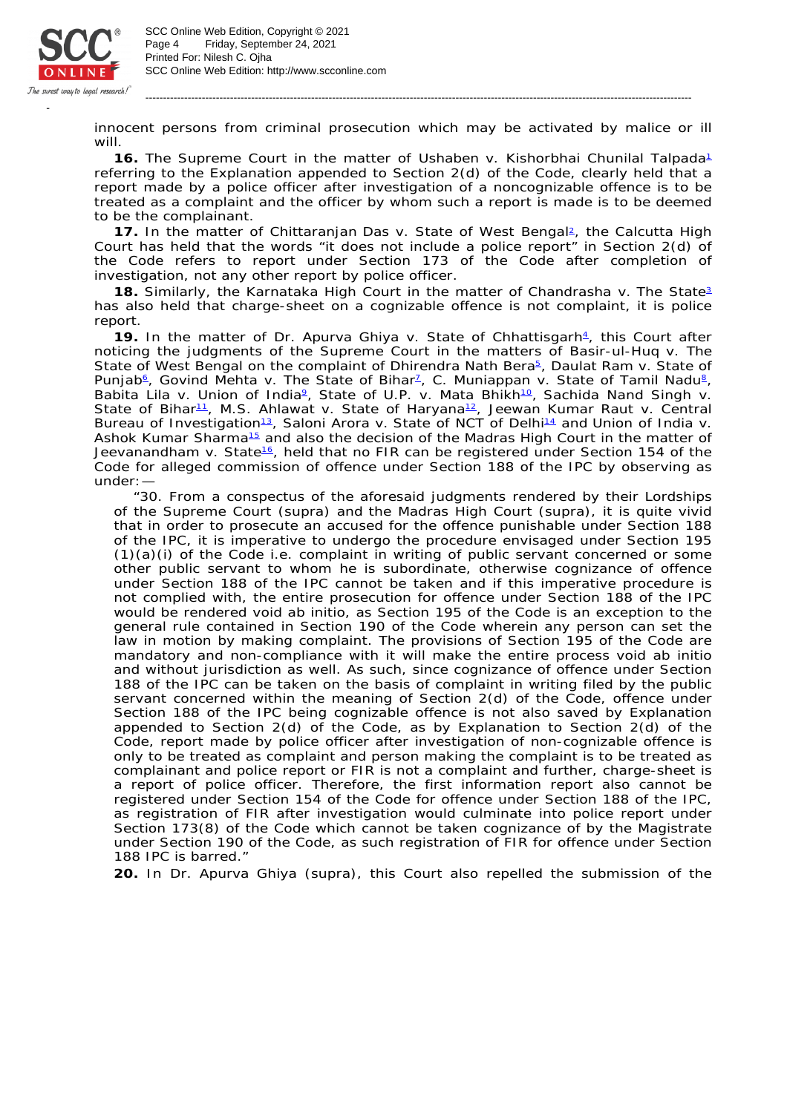

SCC Online Web Edition: http://www.scconline.com Printed For: Nilesh C. Ojha Page 4 Friday, September 24, 2021 SCC Online Web Edition, Copyright © 2021

innocent persons from criminal prosecution which may be activated by malice or ill will.

-----------------------------------------------------------------------------------------------------------------------------------------------------------

**16.** The Supreme Court in the matter of *Ushaben* v. *Kishorbhai Chunilal Talpada* 1 referring to the Explanation appended to Section 2(d) of the Code, clearly held that a report made by a police officer after investigation of a noncognizable offence is to be treated as a complaint and the officer by whom such a report is made is to be deemed to be the complainant.

17. In the matter of *Chittaranjan Das v. State of West Bengal*, the Calcutta High Court has held that the words "it does not include a police report" in Section 2(d) of the Code refers to report under Section 173 of the Code after completion of investigation, not any other report by police officer.

**18.** Similarly, the Karnataka High Court in the matter of *Chandrasha* v. *The State* 3 has also held that charge-sheet on a cognizable offence is not complaint, it is police report.

19. In the matter of *Dr. Apurva Ghiya* v. State of Chhattisgarh<sup>4</sup>, this Court after noticing the judgments of the Supreme Court in the matters of *Basir-ul-Huq* v. *The*  State of West Bengal on the complaint of Dhirendra Nath Bera<sup>5</sup>, Daulat Ram v. State of Punjab<sup>6</sup>, Govind Mehta v. The State of Bihar<sup>1</sup>, C. Muniappan v. State of Tamil Nadu<sup>8</sup>, Babita Lila v. Union of India<sup>2</sup>, State of U.P. v. Mata Bhikh<sup>10</sup>, Sachida Nand Singh v. *State of Bihar<sup>11</sup>, M.S. Ahlawat* v. *State of Haryana<sup>12</sup>, Jeewan Kumar Raut* v. *Central* Bureau of Investigation<sup>13</sup>, Saloni Arora v. State of NCT of Delhi<sup>14</sup> and Union of India v. Ashok Kumar Sharma<sup>15</sup> and also the decision of the Madras High Court in the matter of Jeevanandham v. State<sup>16</sup>, held that no FIR can be registered under Section 154 of the Code for alleged commission of offence under Section 188 of the IPC by observing as under:—

"30. From a conspectus of the aforesaid judgments rendered by their *Lordships of the Supreme Court* (supra) and *the Madras High Court* (supra), it is quite vivid that in order to prosecute an accused for the offence punishable under Section 188 of the IPC, it is imperative to undergo the procedure envisaged under Section 195 (1)(a)(i) of the Code i.e. complaint in writing of public servant concerned or some other public servant to whom he is subordinate, otherwise cognizance of offence under Section 188 of the IPC cannot be taken and if this imperative procedure is not complied with, the entire prosecution for offence under Section 188 of the IPC would be rendered void ab initio, as Section 195 of the Code is an exception to the general rule contained in Section 190 of the Code wherein any person can set the law in motion by making complaint. The provisions of Section 195 of the Code are mandatory and non-compliance with it will make the entire process void ab initio and without jurisdiction as well. As such, since cognizance of offence under Section 188 of the IPC can be taken on the basis of complaint in writing filed by the public servant concerned within the meaning of Section 2(d) of the Code, offence under Section 188 of the IPC being cognizable offence is not also saved by Explanation appended to Section 2(d) of the Code, as by Explanation to Section 2(d) of the Code, report made by police officer after investigation of non-cognizable offence is only to be treated as complaint and person making the complaint is to be treated as complainant and police report or FIR is not a complaint and further, charge-sheet is a report of police officer. Therefore, the first information report also cannot be registered under Section 154 of the Code for offence under Section 188 of the IPC, as registration of FIR after investigation would culminate into police report under Section 173(8) of the Code which cannot be taken cognizance of by the Magistrate under Section 190 of the Code, as such registration of FIR for offence under Section 188 IPC is barred."

**20.** In *Dr. Apurva Ghiya* (supra), this Court also repelled the submission of the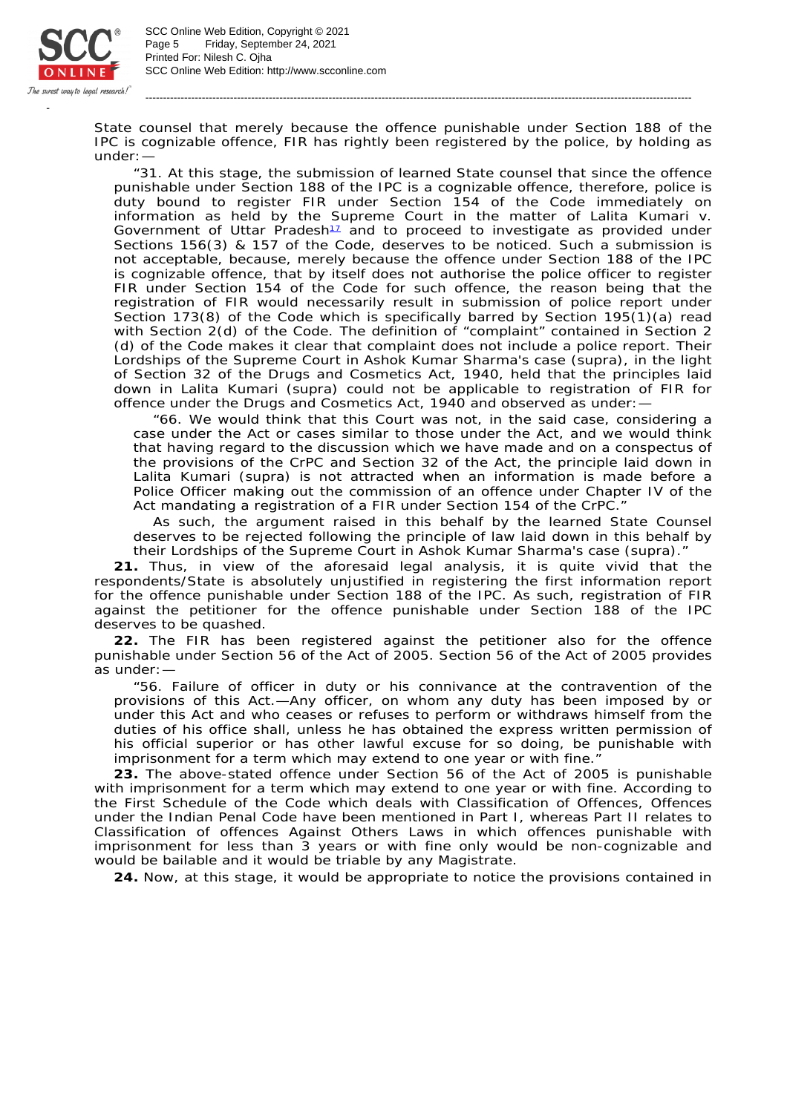

SCC Online Web Edition: http://www.scconline.com Printed For: Nilesh C. Ojha Page 5 Friday, September 24, 2021 SCC Online Web Edition, Copyright © 2021

State counsel that merely because the offence punishable under Section 188 of the IPC is cognizable offence, FIR has rightly been registered by the police, by holding as under:—

-----------------------------------------------------------------------------------------------------------------------------------------------------------

"31. At this stage, the submission of learned State counsel that since the offence punishable under Section 188 of the IPC is a cognizable offence, therefore, police is duty bound to register FIR under Section 154 of the Code immediately on information as held by the Supreme Court in the matter of *Lalita Kumari* v. Government of Uttar Pradesh<sup>11</sup> and to proceed to investigate as provided under Sections 156(3) & 157 of the Code, deserves to be noticed. Such a submission is not acceptable, because, merely because the offence under Section 188 of the IPC is cognizable offence, that by itself does not authorise the police officer to register FIR under Section 154 of the Code for such offence, the reason being that the registration of FIR would necessarily result in submission of police report under Section 173(8) of the Code which is specifically barred by Section 195(1)(a) read with Section 2(d) of the Code. The definition of "complaint" contained in Section 2 (d) of the Code makes it clear that complaint does not include a police report. Their Lordships of the Supreme Court in *Ashok Kumar Sharma's case* (supra), in the light of Section 32 of the Drugs and Cosmetics Act, 1940, held that the principles laid down in *Lalita Kumari* (supra) could not be applicable to registration of FIR for offence under the Drugs and Cosmetics Act, 1940 and observed as under:—

"66. We would think that this Court was not, in the said case, considering a case under the Act or cases similar to those under the Act, and we would think that having regard to the discussion which we have made and on a conspectus of the provisions of the CrPC and Section 32 of the Act, the principle laid down in *Lalita Kumari* (supra) is not attracted when an information is made before a Police Officer making out the commission of an offence under Chapter IV of the Act mandating a registration of a FIR under Section 154 of the CrPC."

As such, the argument raised in this behalf by the learned State Counsel deserves to be rejected following the principle of law laid down in this behalf by their Lordships of the Supreme Court in *Ashok Kumar Sharma's case* (supra)."

**21.** Thus, in view of the aforesaid legal analysis, it is quite vivid that the respondents/State is absolutely unjustified in registering the first information report for the offence punishable under Section 188 of the IPC. As such, registration of FIR against the petitioner for the offence punishable under Section 188 of the IPC deserves to be quashed.

**22.** The FIR has been registered against the petitioner also for the offence punishable under Section 56 of the Act of 2005. Section 56 of the Act of 2005 provides as under:—

"56. Failure of officer in duty or his connivance at the contravention of the provisions of this Act.—Any officer, on whom any duty has been imposed by or under this Act and who ceases or refuses to perform or withdraws himself from the duties of his office shall, unless he has obtained the express written permission of his official superior or has other lawful excuse for so doing, be punishable with imprisonment for a term which may extend to one year or with fine."

**23.** The above-stated offence under Section 56 of the Act of 2005 is punishable with imprisonment for a term which may extend to one year or with fine. According to the First Schedule of the Code which deals with Classification of Offences, Offences under the Indian Penal Code have been mentioned in Part I, whereas Part II relates to Classification of offences Against Others Laws in which offences punishable with imprisonment for less than 3 years or with fine only would be non-cognizable and would be bailable and it would be triable by any Magistrate.

**24.** Now, at this stage, it would be appropriate to notice the provisions contained in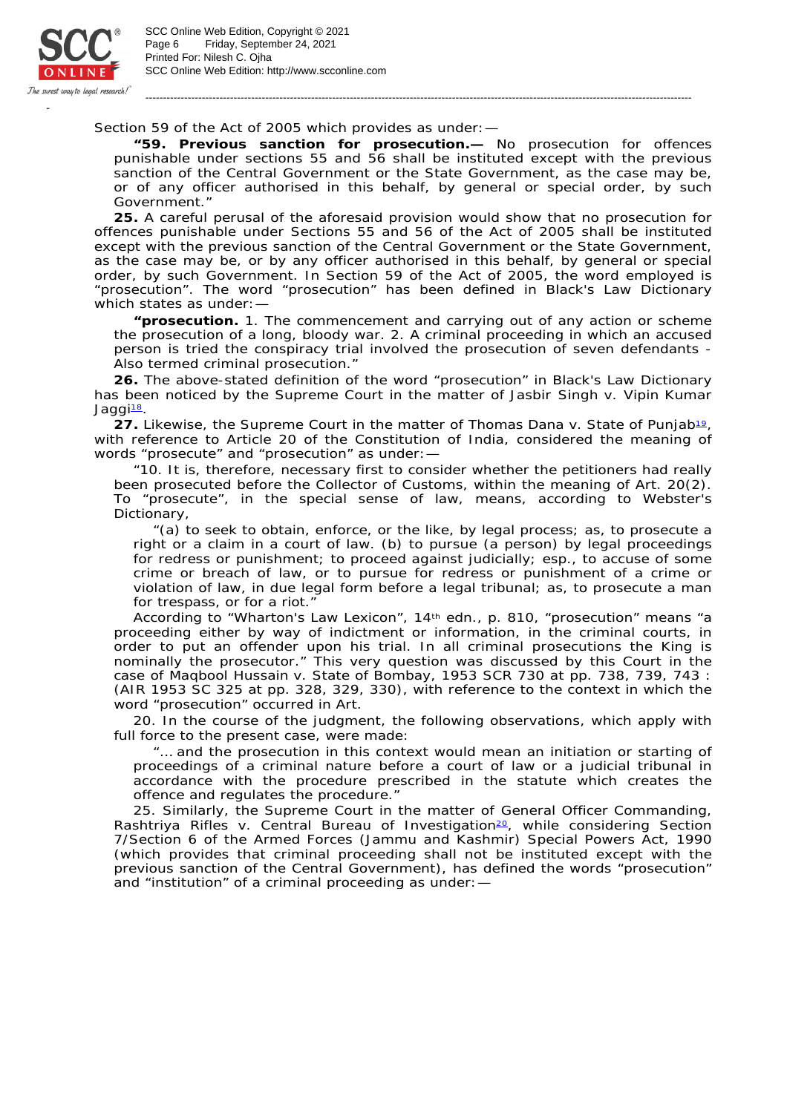

Section 59 of the Act of 2005 which provides as under:—

**"59. Previous sanction for prosecution.—** No prosecution for offences punishable under sections 55 and 56 shall be instituted except with the previous sanction of the Central Government or the State Government, as the case may be, or of any officer authorised in this behalf, by general or special order, by such Government."

-----------------------------------------------------------------------------------------------------------------------------------------------------------

**25.** A careful perusal of the aforesaid provision would show that no prosecution for offences punishable under Sections 55 and 56 of the Act of 2005 shall be instituted except with the previous sanction of the Central Government or the State Government, as the case may be, or by any officer authorised in this behalf, by general or special order, by such Government. In Section 59 of the Act of 2005, the word employed is "prosecution". The word "prosecution" has been defined in Black's Law Dictionary which states as under:—

**"prosecution.** 1. The commencement and carrying out of any action or scheme the prosecution of a long, bloody war. 2. A criminal proceeding in which an accused person is tried the conspiracy trial involved the prosecution of seven defendants - Also termed criminal prosecution."

**26.** The above-stated definition of the word "prosecution" in Black's Law Dictionary has been noticed by the Supreme Court in the matter of *Jasbir Singh* v. *Vipin Kumar Jaggi* 18.

27. Likewise, the Supreme Court in the matter of *Thomas Dana* v. State of Punjab<sup>19</sup>, with reference to Article 20 of the Constitution of India, considered the meaning of words "prosecute" and "prosecution" as under:—

"10. It is, therefore, necessary first to consider whether the petitioners had really been prosecuted before the Collector of Customs, within the meaning of Art. 20(2). To "prosecute", in the special sense of law, means, according to Webster's Dictionary,

"(a) to seek to obtain, enforce, or the like, by legal process; as, to prosecute a right or a claim in a court of law. (b) to pursue (a person) by legal proceedings for redress or punishment; to proceed against judicially; esp., to accuse of some crime or breach of law, or to pursue for redress or punishment of a crime or violation of law, in due legal form before a legal tribunal; as, to prosecute a man for trespass, or for a riot."

According to "Wharton's Law Lexicon", 14<sup>th</sup> edn., p. 810, "prosecution" means "a proceeding either by way of indictment or information, in the criminal courts, in order to put an offender upon his trial. In all criminal prosecutions the King is nominally the prosecutor." This very question was discussed by this Court in the case of *Maqbool Hussain* v. *State of Bombay*, 1953 SCR 730 at pp. 738, 739, 743 : (AIR 1953 SC 325 at pp. 328, 329, 330), with reference to the context in which the word "prosecution" occurred in Art.

20. In the course of the judgment, the following observations, which apply with full force to the present case, were made:

"… and the prosecution in this context would mean an initiation or starting of proceedings of a criminal nature before a court of law or a judicial tribunal in accordance with the procedure prescribed in the statute which creates the offence and regulates the procedure."

25. Similarly, the Supreme Court in the matter of *General Officer Commanding,*  Rashtriya Rifles v. Central Bureau of Investigation<sup>20</sup>, while considering Section 7/Section 6 of the Armed Forces (Jammu and Kashmir) Special Powers Act, 1990 (which provides that criminal proceeding shall not be instituted except with the previous sanction of the Central Government), has defined the words "prosecution" and "institution" of a criminal proceeding as under:—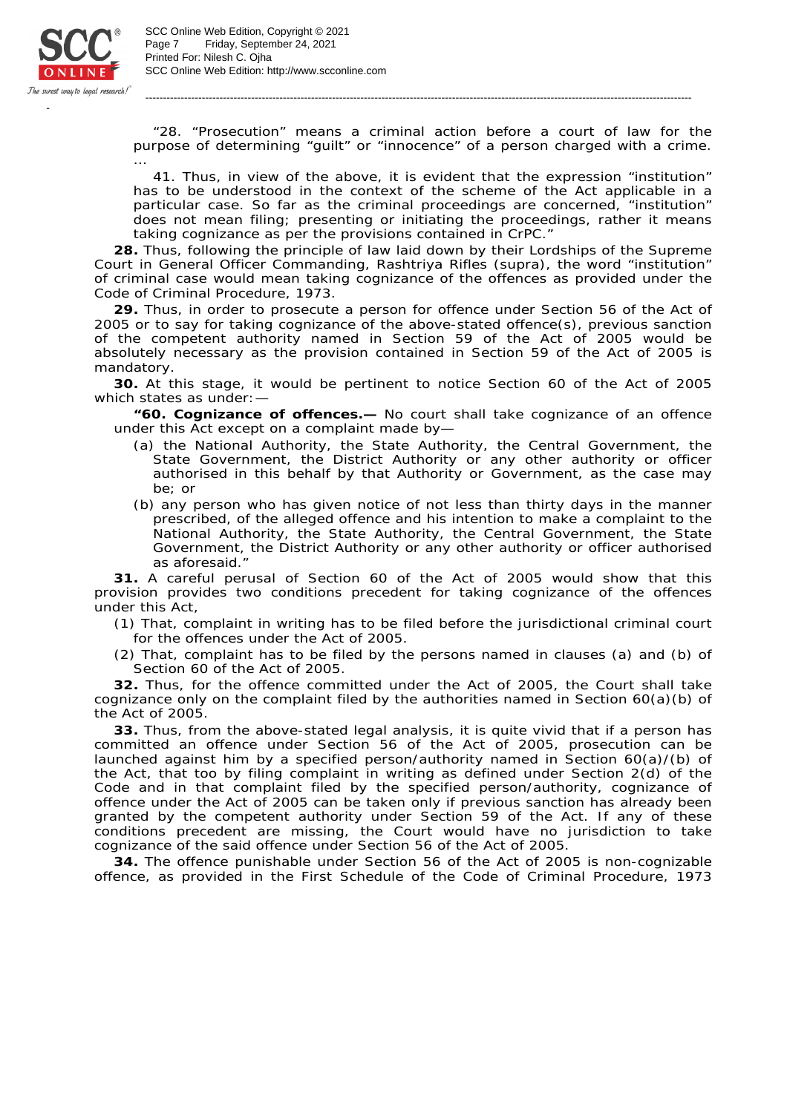

SCC Online Web Edition: http://www.scconline.com Printed For: Nilesh C. Ojha Page 7 Friday, September 24, 2021 SCC Online Web Edition, Copyright © 2021

"28. "Prosecution" means a criminal action before a court of law for the purpose of determining "guilt" or "innocence" of a person charged with a crime. …<br>…

-----------------------------------------------------------------------------------------------------------------------------------------------------------

41. Thus, in view of the above, it is evident that the expression "institution" has to be understood in the context of the scheme of the Act applicable in a particular case. So far as the criminal proceedings are concerned, "institution" does not mean filing; presenting or initiating the proceedings, rather it means taking cognizance as per the provisions contained in CrPC."

**28.** Thus, following the principle of law laid down by their Lordships of the Supreme Court in *General Officer Commanding, Rashtriya Rifles* (supra), the word "institution" of criminal case would mean taking cognizance of the offences as provided under the Code of Criminal Procedure, 1973.

**29.** Thus, in order to prosecute a person for offence under Section 56 of the Act of 2005 or to say for taking cognizance of the above-stated offence(s), previous sanction of the competent authority named in Section 59 of the Act of 2005 would be absolutely necessary as the provision contained in Section 59 of the Act of 2005 is mandatory.

**30.** At this stage, it would be pertinent to notice Section 60 of the Act of 2005 which states as under:—

**"60. Cognizance of offences.—** No court shall take cognizance of an offence under this Act except on a complaint made by—

- (a) the National Authority, the State Authority, the Central Government, the State Government, the District Authority or any other authority or officer authorised in this behalf by that Authority or Government, as the case may be; or
- (b) any person who has given notice of not less than thirty days in the manner prescribed, of the alleged offence and his intention to make a complaint to the National Authority, the State Authority, the Central Government, the State Government, the District Authority or any other authority or officer authorised as aforesaid.

**31.** A careful perusal of Section 60 of the Act of 2005 would show that this provision provides two conditions precedent for taking cognizance of the offences under this Act,

(1) That, complaint in writing has to be filed before the jurisdictional criminal court for the offences under the Act of 2005.

(2) That, complaint has to be filed by the persons named in clauses (a) and (b) of Section 60 of the Act of 2005.

**32.** Thus, for the offence committed under the Act of 2005, the Court shall take cognizance only on the complaint filed by the authorities named in Section  $60(a)(b)$  of the Act of 2005.

**33.** Thus, from the above-stated legal analysis, it is quite vivid that if a person has committed an offence under Section 56 of the Act of 2005, prosecution can be launched against him by a specified person/authority named in Section 60(a)/(b) of the Act, that too by filing complaint in writing as defined under Section 2(d) of the Code and in that complaint filed by the specified person/authority, cognizance of offence under the Act of 2005 can be taken only if previous sanction has already been granted by the competent authority under Section 59 of the Act. If any of these conditions precedent are missing, the Court would have no jurisdiction to take cognizance of the said offence under Section 56 of the Act of 2005.

**34.** The offence punishable under Section 56 of the Act of 2005 is non-cognizable offence, as provided in the First Schedule of the Code of Criminal Procedure, 1973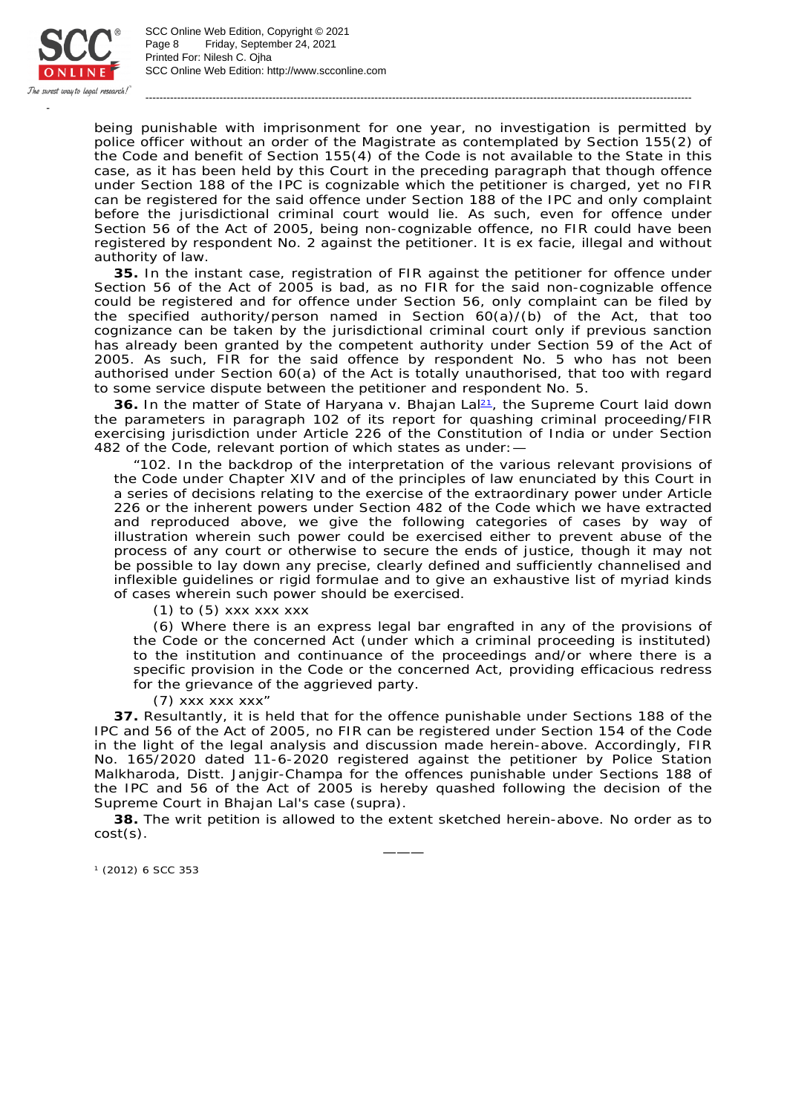

SCC Online Web Edition: http://www.scconline.com Printed For: Nilesh C. Ojha Page 8 Friday, September 24, 2021 SCC Online Web Edition, Copyright © 2021

being punishable with imprisonment for one year, no investigation is permitted by police officer without an order of the Magistrate as contemplated by Section 155(2) of the Code and benefit of Section 155(4) of the Code is not available to the State in this case, as it has been held by this Court in the preceding paragraph that though offence under Section 188 of the IPC is cognizable which the petitioner is charged, yet no FIR can be registered for the said offence under Section 188 of the IPC and only complaint before the jurisdictional criminal court would lie. As such, even for offence under Section 56 of the Act of 2005, being non-cognizable offence, no FIR could have been registered by respondent No. 2 against the petitioner. It is ex facie, illegal and without authority of law.

-----------------------------------------------------------------------------------------------------------------------------------------------------------

**35.** In the instant case, registration of FIR against the petitioner for offence under Section 56 of the Act of 2005 is bad, as no FIR for the said non-cognizable offence could be registered and for offence under Section 56, only complaint can be filed by the specified authority/person named in Section 60(a)/(b) of the Act, that too cognizance can be taken by the jurisdictional criminal court only if previous sanction has already been granted by the competent authority under Section 59 of the Act of 2005. As such, FIR for the said offence by respondent No. 5 who has not been authorised under Section 60(a) of the Act is totally unauthorised, that too with regard to some service dispute between the petitioner and respondent No. 5.

36. In the matter of *State of Haryana* v. Bhajan La<sup>p<sub>1</sub></sup>, the Supreme Court laid down the parameters in paragraph 102 of its report for quashing criminal proceeding/FIR exercising jurisdiction under Article 226 of the Constitution of India or under Section 482 of the Code, relevant portion of which states as under:—

"102. In the backdrop of the interpretation of the various relevant provisions of the Code under Chapter XIV and of the principles of law enunciated by this Court in a series of decisions relating to the exercise of the extraordinary power under Article 226 or the inherent powers under Section 482 of the Code which we have extracted and reproduced above, we give the following categories of cases by way of illustration wherein such power could be exercised either to prevent abuse of the process of any court or otherwise to secure the ends of justice, though it may not be possible to lay down any precise, clearly defined and sufficiently channelised and inflexible guidelines or rigid formulae and to give an exhaustive list of myriad kinds of cases wherein such power should be exercised.

 $(1)$  to  $(5)$  xxx xxx xxx

(6) Where there is an express legal bar engrafted in any of the provisions of the Code or the concerned Act (under which a criminal proceeding is instituted) to the institution and continuance of the proceedings and/or where there is a specific provision in the Code or the concerned Act, providing efficacious redress for the grievance of the aggrieved party.

(7) xxx xxx xxx"

**37.** Resultantly, it is held that for the offence punishable under Sections 188 of the IPC and 56 of the Act of 2005, no FIR can be registered under Section 154 of the Code in the light of the legal analysis and discussion made herein-above. Accordingly, FIR No. 165/2020 dated 11-6-2020 registered against the petitioner by Police Station Malkharoda, Distt. Janjgir-Champa for the offences punishable under Sections 188 of the IPC and 56 of the Act of 2005 is hereby quashed following the decision of the Supreme Court in *Bhajan Lal's case* (supra).

**38.** The writ petition is allowed to the extent sketched herein-above. No order as to cost(s). ———

(2012) 6 SCC 353 1